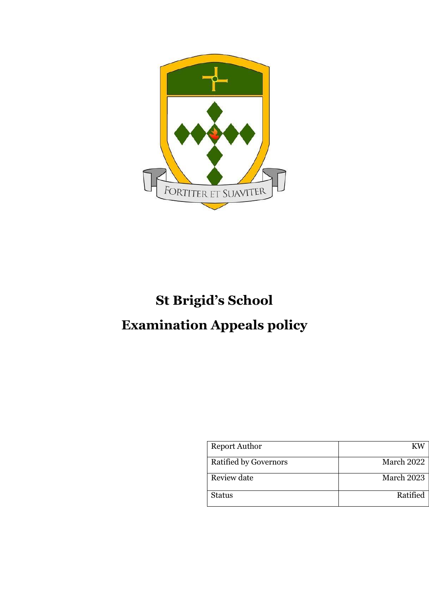

# **St Brigid's School Examination Appeals policy**

| <b>Report Author</b>         | KW         |
|------------------------------|------------|
| <b>Ratified by Governors</b> | March 2022 |
| Review date                  | March 2023 |
| <b>Status</b>                | Ratified   |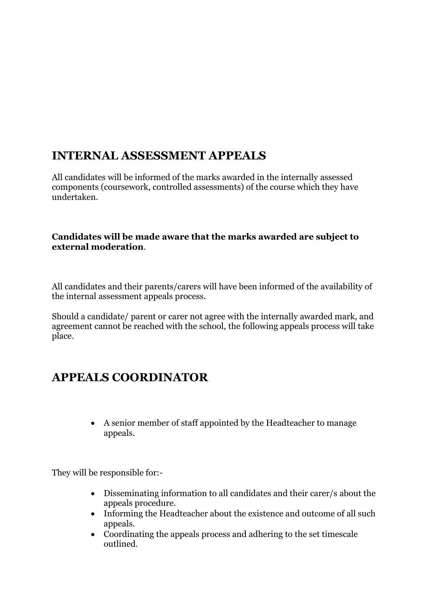## **INTERNAL ASSESSMENT APPEALS**

All candidates will be informed of the marks awarded in the internally assessed components (coursework, controlled assessments) of the course which they have undertaken.

#### **Candidates will be made aware that the marks awarded are subject to external moderation**.

All candidates and their parents/carers will have been informed of the availability of the internal assessment appeals process.

Should a candidate/ parent or carer not agree with the internally awarded mark, and agreement cannot be reached with the school, the following appeals process will take place.

### **APPEALS COORDINATOR**

• A senior member of staff appointed by the Headteacher to manage appeals.

They will be responsible for:-

- Disseminating information to all candidates and their carer/s about the appeals procedure.
- Informing the Headteacher about the existence and outcome of all such appeals.
- Coordinating the appeals process and adhering to the set timescale outlined.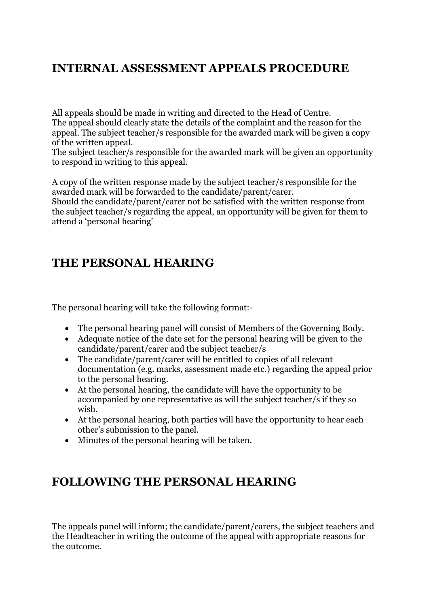#### **INTERNAL ASSESSMENT APPEALS PROCEDURE**

All appeals should be made in writing and directed to the Head of Centre. The appeal should clearly state the details of the complaint and the reason for the appeal. The subject teacher/s responsible for the awarded mark will be given a copy of the written appeal.

The subject teacher/s responsible for the awarded mark will be given an opportunity to respond in writing to this appeal.

A copy of the written response made by the subject teacher/s responsible for the awarded mark will be forwarded to the candidate/parent/carer.

Should the candidate/parent/carer not be satisfied with the written response from the subject teacher/s regarding the appeal, an opportunity will be given for them to attend a 'personal hearing'

#### **THE PERSONAL HEARING**

The personal hearing will take the following format:-

- The personal hearing panel will consist of Members of the Governing Body.
- Adequate notice of the date set for the personal hearing will be given to the candidate/parent/carer and the subject teacher/s
- The candidate/parent/carer will be entitled to copies of all relevant documentation (e.g. marks, assessment made etc.) regarding the appeal prior to the personal hearing.
- At the personal hearing, the candidate will have the opportunity to be accompanied by one representative as will the subject teacher/s if they so wish.
- At the personal hearing, both parties will have the opportunity to hear each other's submission to the panel.
- Minutes of the personal hearing will be taken.

#### **FOLLOWING THE PERSONAL HEARING**

The appeals panel will inform; the candidate/parent/carers, the subject teachers and the Headteacher in writing the outcome of the appeal with appropriate reasons for the outcome.